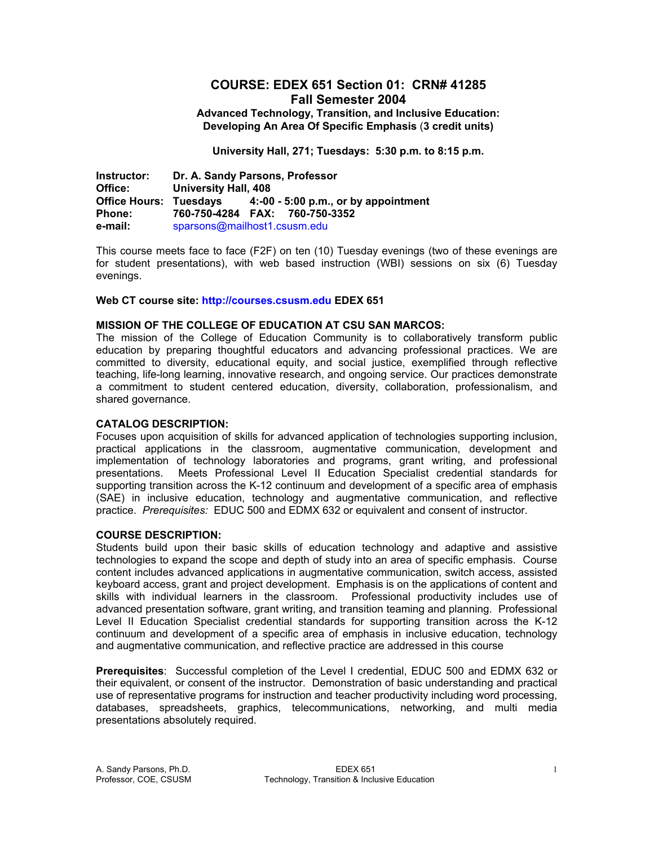# **COURSE: EDEX 651 Section 01: CRN# 41285 Fall Semester 2004**

**Advanced Technology, Transition, and Inclusive Education: Developing An Area Of Specific Emphasis** (**3 credit units)** 

**University Hall, 271; Tuesdays: 5:30 p.m. to 8:15 p.m.** 

**Instructor: Dr. A. Sandy Parsons, Professor University Hall, 408 Office Hours: Tuesdays 4:-00 - 5:00 p.m., or by appointment Phone: 760-750-4284 FAX: 760-750-3352 e-mail:** sparsons@mailhost1.csusm.edu

This course meets face to face (F2F) on ten (10) Tuesday evenings (two of these evenings are for student presentations), with web based instruction (WBI) sessions on six (6) Tuesday evenings.

#### **Web CT course site: http://courses.csusm.edu EDEX 651**

#### **MISSION OF THE COLLEGE OF EDUCATION AT CSU SAN MARCOS:**

The mission of the College of Education Community is to collaboratively transform public education by preparing thoughtful educators and advancing professional practices. We are committed to diversity, educational equity, and social justice, exemplified through reflective teaching, life-long learning, innovative research, and ongoing service. Our practices demonstrate a commitment to student centered education, diversity, collaboration, professionalism, and shared governance.

#### **CATALOG DESCRIPTION:**

Focuses upon acquisition of skills for advanced application of technologies supporting inclusion, practical applications in the classroom, augmentative communication, development and implementation of technology laboratories and programs, grant writing, and professional presentations. Meets Professional Level II Education Specialist credential standards for supporting transition across the K-12 continuum and development of a specific area of emphasis (SAE) in inclusive education, technology and augmentative communication, and reflective practice. *Prerequisites:* EDUC 500 and EDMX 632 or equivalent and consent of instructor.

#### **COURSE DESCRIPTION:**

Students build upon their basic skills of education technology and adaptive and assistive technologies to expand the scope and depth of study into an area of specific emphasis. Course content includes advanced applications in augmentative communication, switch access, assisted keyboard access, grant and project development. Emphasis is on the applications of content and skills with individual learners in the classroom. Professional productivity includes use of advanced presentation software, grant writing, and transition teaming and planning. Professional Level II Education Specialist credential standards for supporting transition across the K-12 continuum and development of a specific area of emphasis in inclusive education, technology and augmentative communication, and reflective practice are addressed in this course

**Prerequisites**: Successful completion of the Level I credential, EDUC 500 and EDMX 632 or their equivalent, or consent of the instructor. Demonstration of basic understanding and practical use of representative programs for instruction and teacher productivity including word processing, databases, spreadsheets, graphics, telecommunications, networking, and multi media presentations absolutely required.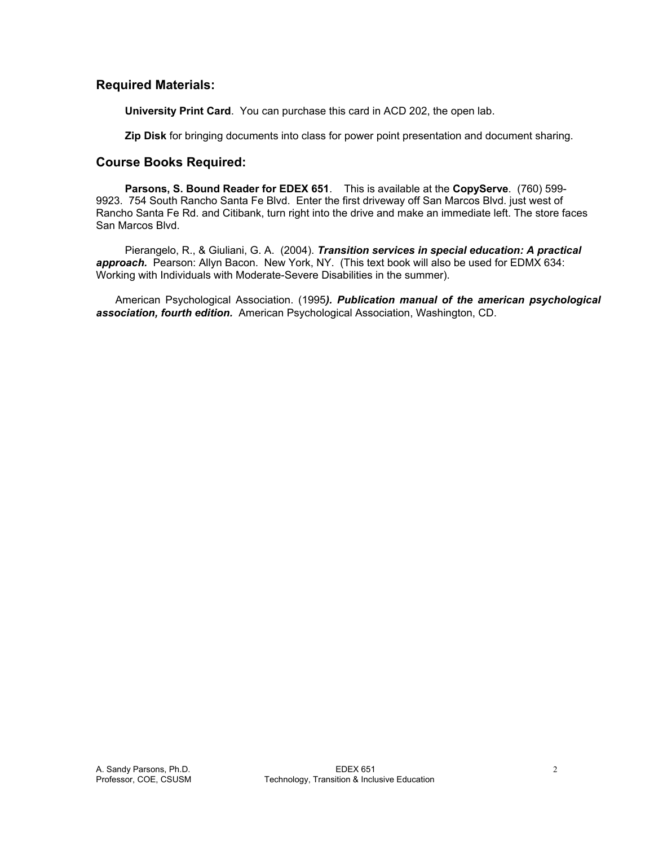# **Required Materials:**

**University Print Card**. You can purchase this card in ACD 202, the open lab.

**Zip Disk** for bringing documents into class for power point presentation and document sharing.

# **Course Books Required:**

**Parsons, S. Bound Reader for EDEX 651**. This is available at the **CopyServe**. (760) 599- 9923. 754 South Rancho Santa Fe Blvd. Enter the first driveway off San Marcos Blvd. just west of Rancho Santa Fe Rd. and Citibank, turn right into the drive and make an immediate left. The store faces San Marcos Blvd.

 Pierangelo, R., & Giuliani, G. A. (2004). *Transition services in special education: A practical*  approach. Pearson: Allyn Bacon. New York, NY. (This text book will also be used for EDMX 634: Working with Individuals with Moderate-Severe Disabilities in the summer).

 American Psychological Association. (1995*). Publication manual of the american psychological association, fourth edition.* American Psychological Association, Washington, CD.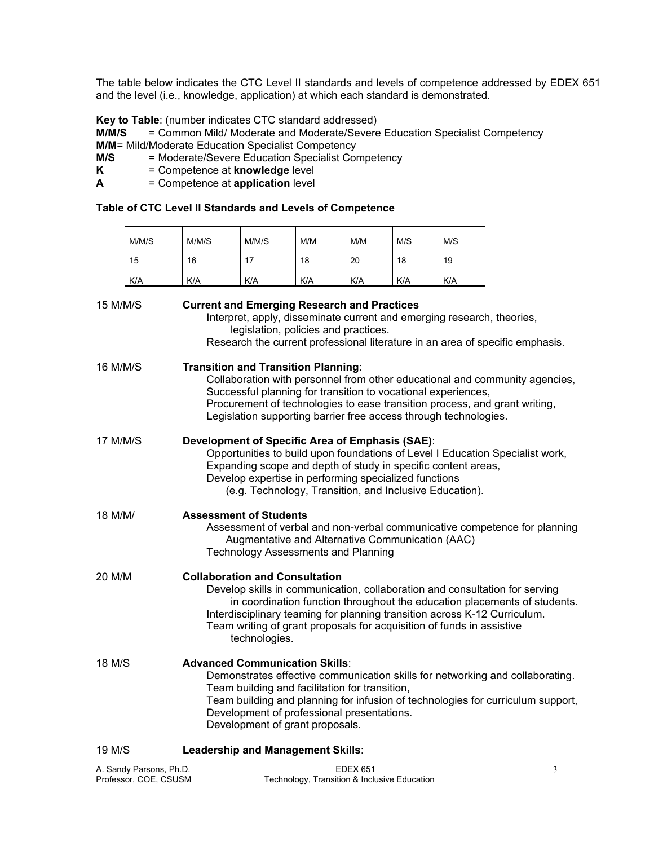The table below indicates the CTC Level II standards and levels of competence addressed by EDEX 651 and the level (i.e., knowledge, application) at which each standard is demonstrated.

**Key to Table**: (number indicates CTC standard addressed)

**M/M/S** = Common Mild/ Moderate and Moderate/Severe Education Specialist Competency **M/M**= Mild/Moderate Education Specialist Competency

**M/S** = Moderate/Severe Education Specialist Competency<br>**K** = Competence at **knowledge** level

- **F** Competence at **knowledge** level
- **A** = Competence at **application** level

 $\overline{a}$ 

#### **Table of CTC Level II Standards and Levels of Competence**

|                                                  | M/M/S                                                                                                                                                                                                                                                                                                                                        | M/M/S                                                                                                                                                                                                                                                                                                                                                                    | M/M/S                                                                                                          | M/M                                          | M/M             | M/S | M/S |                                                                               |  |  |
|--------------------------------------------------|----------------------------------------------------------------------------------------------------------------------------------------------------------------------------------------------------------------------------------------------------------------------------------------------------------------------------------------------|--------------------------------------------------------------------------------------------------------------------------------------------------------------------------------------------------------------------------------------------------------------------------------------------------------------------------------------------------------------------------|----------------------------------------------------------------------------------------------------------------|----------------------------------------------|-----------------|-----|-----|-------------------------------------------------------------------------------|--|--|
|                                                  | 15                                                                                                                                                                                                                                                                                                                                           | 16                                                                                                                                                                                                                                                                                                                                                                       | 17                                                                                                             | 18                                           | 20              | 18  | 19  |                                                                               |  |  |
|                                                  | K/A                                                                                                                                                                                                                                                                                                                                          | K/A                                                                                                                                                                                                                                                                                                                                                                      | K/A                                                                                                            | K/A                                          | K/A             | K/A | K/A |                                                                               |  |  |
| 15 M/M/S                                         |                                                                                                                                                                                                                                                                                                                                              | <b>Current and Emerging Research and Practices</b>                                                                                                                                                                                                                                                                                                                       | Interpret, apply, disseminate current and emerging research, theories,<br>legislation, policies and practices. |                                              |                 |     |     | Research the current professional literature in an area of specific emphasis. |  |  |
| 16 M/M/S                                         |                                                                                                                                                                                                                                                                                                                                              | <b>Transition and Transition Planning:</b><br>Collaboration with personnel from other educational and community agencies,<br>Successful planning for transition to vocational experiences,<br>Procurement of technologies to ease transition process, and grant writing,<br>Legislation supporting barrier free access through technologies.                             |                                                                                                                |                                              |                 |     |     |                                                                               |  |  |
| 17 M/M/S                                         |                                                                                                                                                                                                                                                                                                                                              | Development of Specific Area of Emphasis (SAE):<br>Opportunities to build upon foundations of Level I Education Specialist work,<br>Expanding scope and depth of study in specific content areas,<br>Develop expertise in performing specialized functions<br>(e.g. Technology, Transition, and Inclusive Education).                                                    |                                                                                                                |                                              |                 |     |     |                                                                               |  |  |
| 18 M/M/                                          |                                                                                                                                                                                                                                                                                                                                              | <b>Assessment of Students</b><br>Assessment of verbal and non-verbal communicative competence for planning<br>Augmentative and Alternative Communication (AAC)<br><b>Technology Assessments and Planning</b>                                                                                                                                                             |                                                                                                                |                                              |                 |     |     |                                                                               |  |  |
| 20 M/M                                           |                                                                                                                                                                                                                                                                                                                                              | <b>Collaboration and Consultation</b><br>Develop skills in communication, collaboration and consultation for serving<br>in coordination function throughout the education placements of students.<br>Interdisciplinary teaming for planning transition across K-12 Curriculum.<br>Team writing of grant proposals for acquisition of funds in assistive<br>technologies. |                                                                                                                |                                              |                 |     |     |                                                                               |  |  |
| 18 M/S                                           | <b>Advanced Communication Skills:</b><br>Demonstrates effective communication skills for networking and collaborating.<br>Team building and facilitation for transition,<br>Team building and planning for infusion of technologies for curriculum support,<br>Development of professional presentations.<br>Development of grant proposals. |                                                                                                                                                                                                                                                                                                                                                                          |                                                                                                                |                                              |                 |     |     |                                                                               |  |  |
| 19 M/S                                           |                                                                                                                                                                                                                                                                                                                                              | Leadership and Management Skills:                                                                                                                                                                                                                                                                                                                                        |                                                                                                                |                                              |                 |     |     |                                                                               |  |  |
| A. Sandy Parsons, Ph.D.<br>Professor, COE, CSUSM |                                                                                                                                                                                                                                                                                                                                              |                                                                                                                                                                                                                                                                                                                                                                          |                                                                                                                | Technology, Transition & Inclusive Education | <b>EDEX 651</b> |     |     | 3                                                                             |  |  |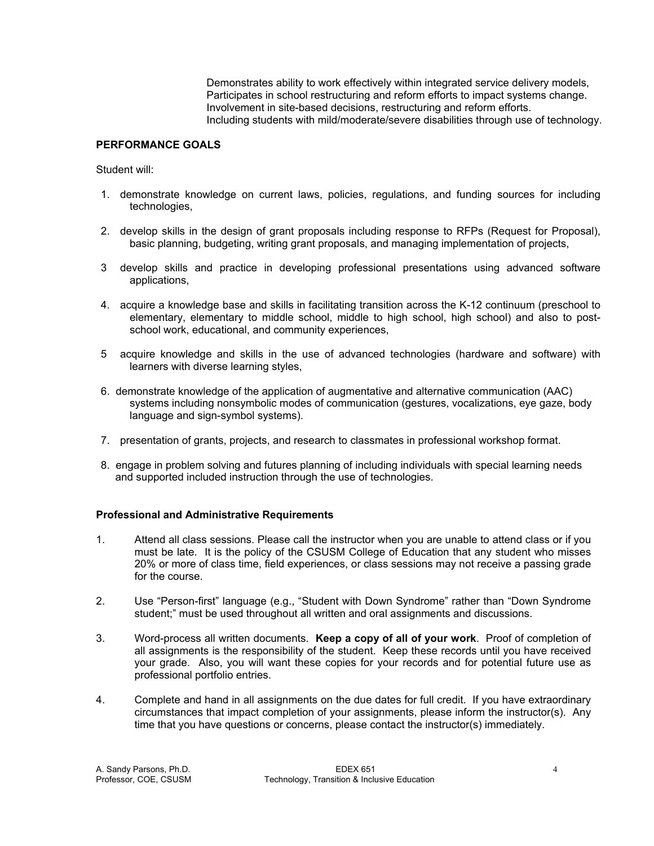Demonstrates ability to work effectively within integrated service delivery models, Participates in school restructuring and reform efforts to impact systems change. Involvement in site-based decisions, restructuring and reform efforts. Including students with mild/moderate/severe disabilities through use of technology.

### **PERFORMANCE GOALS**

Student will:

- 1. demonstrate knowledge on current laws, policies, regulations, and funding sources for including technologies,
- 2. develop skills in the design of grant proposals including response to RFPs (Request for Proposal), basic planning, budgeting, writing grant proposals, and managing implementation of projects,
- 3 develop skills and practice in developing professional presentations using advanced software applications,
- 4. acquire a knowledge base and skills in facilitating transition across the K-12 continuum (preschool to elementary, elementary to middle school, middle to high school, high school) and also to postschool work, educational, and community experiences,
- 5 acquire knowledge and skills in the use of advanced technologies (hardware and software) with learners with diverse learning styles,
- 6. demonstrate knowledge of the application of augmentative and alternative communication (AAC) systems including nonsymbolic modes of communication (gestures, vocalizations, eye gaze, body language and sign-symbol systems).
- 7. presentation of grants, projects, and research to classmates in professional workshop format.
- 8. engage in problem solving and futures planning of including individuals with special learning needs and supported included instruction through the use of technologies.

### **Professional and Administrative Requirements**

- 1. Attend all class sessions. Please call the instructor when you are unable to attend class or if you must be late. It is the policy of the CSUSM College of Education that any student who misses 20% or more of class time, field experiences, or class sessions may not receive a passing grade for the course.
- 2. Use "Person-first" language (e.g., "Student with Down Syndrome" rather than "Down Syndrome student;" must be used throughout all written and oral assignments and discussions.
- 3. Word-process all written documents. **Keep a copy of all of your work**. Proof of completion of all assignments is the responsibility of the student. Keep these records until you have received your grade. Also, you will want these copies for your records and for potential future use as professional portfolio entries.
- 4. Complete and hand in all assignments on the due dates for full credit. If you have extraordinary circumstances that impact completion of your assignments, please inform the instructor(s). Any time that you have questions or concerns, please contact the instructor(s) immediately.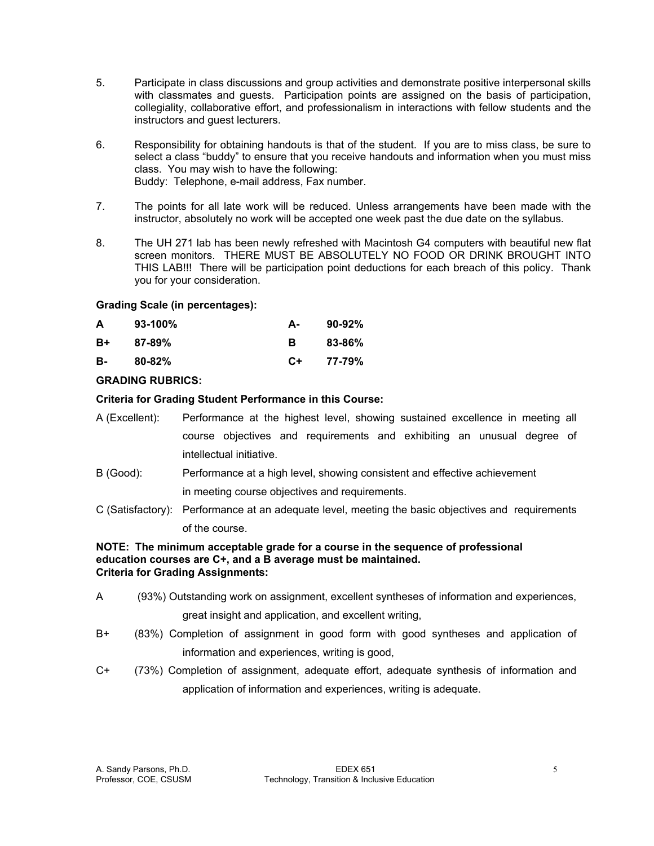- 5. Participate in class discussions and group activities and demonstrate positive interpersonal skills with classmates and guests. Participation points are assigned on the basis of participation, collegiality, collaborative effort, and professionalism in interactions with fellow students and the instructors and guest lecturers.
- 6. Responsibility for obtaining handouts is that of the student. If you are to miss class, be sure to select a class "buddy" to ensure that you receive handouts and information when you must miss class. You may wish to have the following: Buddy: Telephone, e-mail address, Fax number.
- 7. The points for all late work will be reduced. Unless arrangements have been made with the instructor, absolutely no work will be accepted one week past the due date on the syllabus.
- 8. The UH 271 lab has been newly refreshed with Macintosh G4 computers with beautiful new flat screen monitors. THERE MUST BE ABSOLUTELY NO FOOD OR DRINK BROUGHT INTO THIS LAB!!! There will be participation point deductions for each breach of this policy. Thank you for your consideration.

### **Grading Scale (in percentages):**

| A  | $93-100%$  | А-   | $90-92\%$ |
|----|------------|------|-----------|
| B+ | $87 - 89%$ | в    | 83-86%    |
| в- | $80 - 82%$ | $C+$ | 77-79%    |

# **GRADING RUBRICS:**

### **Criteria for Grading Student Performance in this Course:**

- A (Excellent): Performance at the highest level, showing sustained excellence in meeting all course objectives and requirements and exhibiting an unusual degree of intellectual initiative.
- B (Good): Performance at a high level, showing consistent and effective achievement in meeting course objectives and requirements.
- C (Satisfactory): Performance at an adequate level, meeting the basic objectives and requirements of the course.

#### **NOTE: The minimum acceptable grade for a course in the sequence of professional education courses are C+, and a B average must be maintained. Criteria for Grading Assignments:**

- A (93%) Outstanding work on assignment, excellent syntheses of information and experiences, great insight and application, and excellent writing,
- B+ (83%) Completion of assignment in good form with good syntheses and application of information and experiences, writing is good,
- C+ (73%) Completion of assignment, adequate effort, adequate synthesis of information and application of information and experiences, writing is adequate.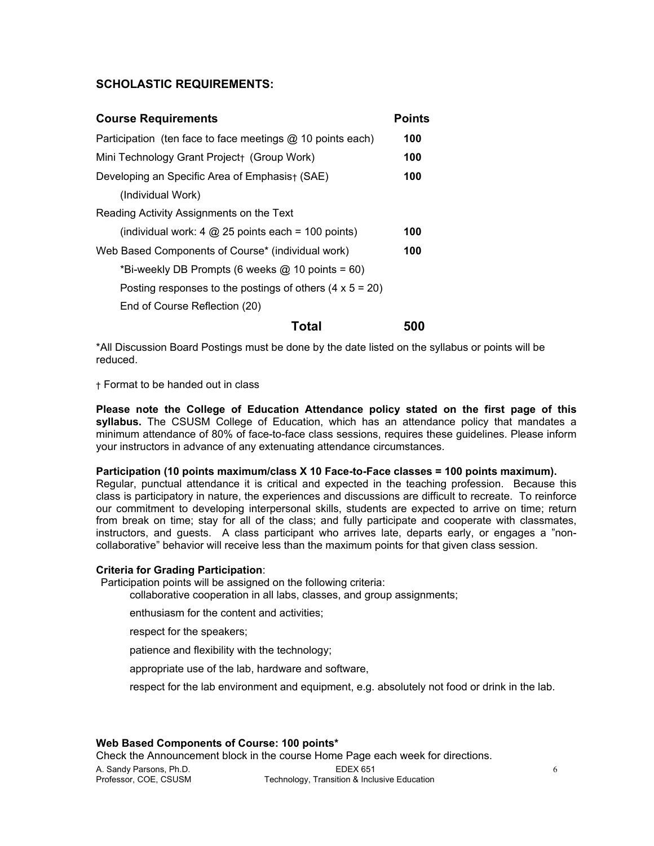### **SCHOLASTIC REQUIREMENTS:**

| <b>Course Requirements</b>                                      | <b>Points</b> |  |  |  |  |  |
|-----------------------------------------------------------------|---------------|--|--|--|--|--|
| Participation (ten face to face meetings @ 10 points each)      | 100           |  |  |  |  |  |
| Mini Technology Grant Project+ (Group Work)                     |               |  |  |  |  |  |
| Developing an Specific Area of Emphasis+ (SAE)                  |               |  |  |  |  |  |
| (Individual Work)                                               |               |  |  |  |  |  |
| Reading Activity Assignments on the Text                        |               |  |  |  |  |  |
| (individual work: 4 $@$ 25 points each = 100 points)            | 100           |  |  |  |  |  |
| Web Based Components of Course* (individual work)               |               |  |  |  |  |  |
| *Bi-weekly DB Prompts (6 weeks $@$ 10 points = 60)              |               |  |  |  |  |  |
| Posting responses to the postings of others $(4 \times 5 = 20)$ |               |  |  |  |  |  |
| End of Course Reflection (20)                                   |               |  |  |  |  |  |
| Total                                                           | 500           |  |  |  |  |  |

\*All Discussion Board Postings must be done by the date listed on the syllabus or points will be reduced.

† Format to be handed out in class

**Please note the College of Education Attendance policy stated on the first page of this syllabus.** The CSUSM College of Education, which has an attendance policy that mandates a minimum attendance of 80% of face-to-face class sessions, requires these guidelines. Please inform your instructors in advance of any extenuating attendance circumstances.

#### **Participation (10 points maximum/class X 10 Face-to-Face classes = 100 points maximum).**

Regular, punctual attendance it is critical and expected in the teaching profession. Because this class is participatory in nature, the experiences and discussions are difficult to recreate. To reinforce our commitment to developing interpersonal skills, students are expected to arrive on time; return from break on time; stay for all of the class; and fully participate and cooperate with classmates, instructors, and guests. A class participant who arrives late, departs early, or engages a "noncollaborative" behavior will receive less than the maximum points for that given class session.

#### **Criteria for Grading Participation**:

Participation points will be assigned on the following criteria:

collaborative cooperation in all labs, classes, and group assignments;

enthusiasm for the content and activities;

respect for the speakers;

patience and flexibility with the technology;

appropriate use of the lab, hardware and software,

respect for the lab environment and equipment, e.g. absolutely not food or drink in the lab.

### **Web Based Components of Course: 100 points\***

Check the Announcement block in the course Home Page each week for directions.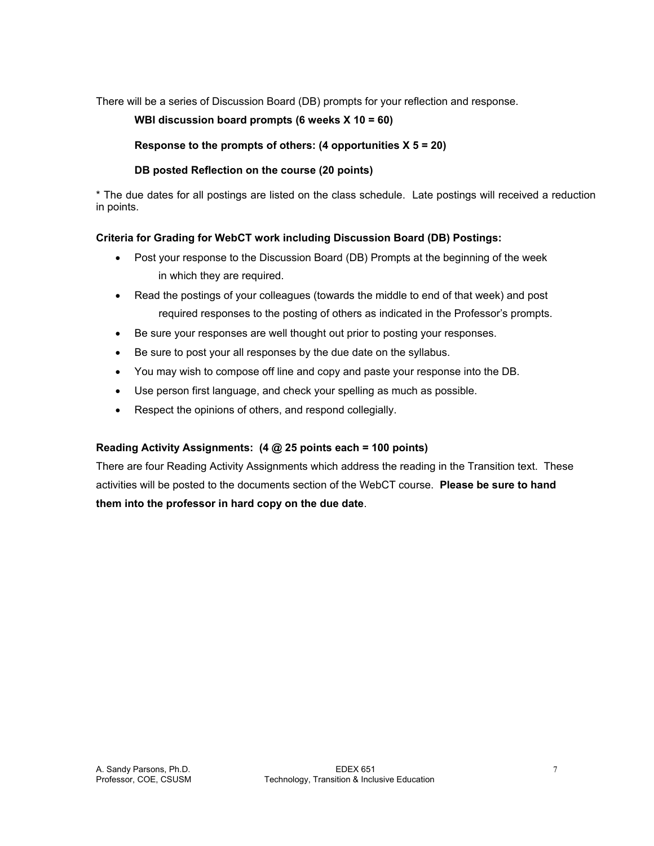There will be a series of Discussion Board (DB) prompts for your reflection and response.

# **WBI discussion board prompts (6 weeks X 10 = 60)**

# **Response to the prompts of others: (4 opportunities X 5 = 20)**

# **DB posted Reflection on the course (20 points)**

\* The due dates for all postings are listed on the class schedule. Late postings will received a reduction in points.

# **Criteria for Grading for WebCT work including Discussion Board (DB) Postings:**

- Post your response to the Discussion Board (DB) Prompts at the beginning of the week in which they are required.
- Read the postings of your colleagues (towards the middle to end of that week) and post required responses to the posting of others as indicated in the Professor's prompts.
- Be sure your responses are well thought out prior to posting your responses.
- Be sure to post your all responses by the due date on the syllabus.
- You may wish to compose off line and copy and paste your response into the DB.
- Use person first language, and check your spelling as much as possible.
- Respect the opinions of others, and respond collegially.

# **Reading Activity Assignments: (4 @ 25 points each = 100 points)**

There are four Reading Activity Assignments which address the reading in the Transition text. These activities will be posted to the documents section of the WebCT course. **Please be sure to hand them into the professor in hard copy on the due date**.